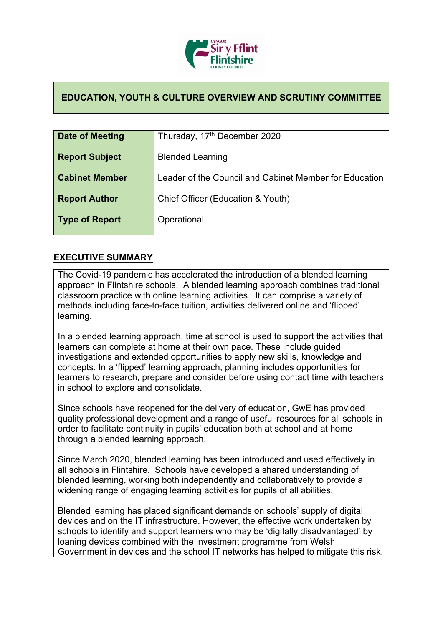

## **EDUCATION, YOUTH & CULTURE OVERVIEW AND SCRUTINY COMMITTEE**

| Date of Meeting       | Thursday, 17 <sup>th</sup> December 2020               |
|-----------------------|--------------------------------------------------------|
| <b>Report Subject</b> | <b>Blended Learning</b>                                |
| <b>Cabinet Member</b> | Leader of the Council and Cabinet Member for Education |
| <b>Report Author</b>  | Chief Officer (Education & Youth)                      |
| <b>Type of Report</b> | Operational                                            |

## **EXECUTIVE SUMMARY**

The Covid-19 pandemic has accelerated the introduction of a blended learning approach in Flintshire schools. A blended learning approach combines traditional classroom practice with online learning activities. It can comprise a variety of methods including face-to-face tuition, activities delivered online and 'flipped' learning.

In a blended learning approach, time at school is used to support the activities that learners can complete at home at their own pace. These include guided investigations and extended opportunities to apply new skills, knowledge and concepts. In a 'flipped' learning approach, planning includes opportunities for learners to research, prepare and consider before using contact time with teachers in school to explore and consolidate.

Since schools have reopened for the delivery of education, GwE has provided quality professional development and a range of useful resources for all schools in order to facilitate continuity in pupils' education both at school and at home through a blended learning approach.

Since March 2020, blended learning has been introduced and used effectively in all schools in Flintshire. Schools have developed a shared understanding of blended learning, working both independently and collaboratively to provide a widening range of engaging learning activities for pupils of all abilities.

Blended learning has placed significant demands on schools' supply of digital devices and on the IT infrastructure. However, the effective work undertaken by schools to identify and support learners who may be 'digitally disadvantaged' by loaning devices combined with the investment programme from Welsh Government in devices and the school IT networks has helped to mitigate this risk.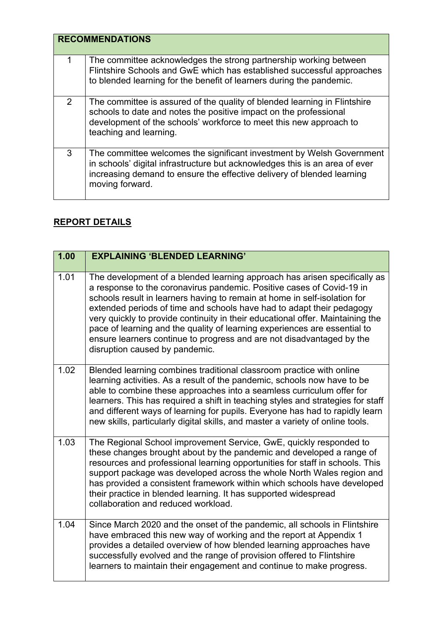|   | <b>RECOMMENDATIONS</b>                                                                                                                                                                                                                            |  |
|---|---------------------------------------------------------------------------------------------------------------------------------------------------------------------------------------------------------------------------------------------------|--|
|   | The committee acknowledges the strong partnership working between<br>Flintshire Schools and GwE which has established successful approaches<br>to blended learning for the benefit of learners during the pandemic.                               |  |
| 2 | The committee is assured of the quality of blended learning in Flintshire<br>schools to date and notes the positive impact on the professional<br>development of the schools' workforce to meet this new approach to<br>teaching and learning.    |  |
| 3 | The committee welcomes the significant investment by Welsh Government<br>in schools' digital infrastructure but acknowledges this is an area of ever<br>increasing demand to ensure the effective delivery of blended learning<br>moving forward. |  |

## **REPORT DETAILS**

| 1.00 | <b>EXPLAINING 'BLENDED LEARNING'</b>                                                                                                                                                                                                                                                                                                                                                                                                                                                                                                                                               |
|------|------------------------------------------------------------------------------------------------------------------------------------------------------------------------------------------------------------------------------------------------------------------------------------------------------------------------------------------------------------------------------------------------------------------------------------------------------------------------------------------------------------------------------------------------------------------------------------|
|      |                                                                                                                                                                                                                                                                                                                                                                                                                                                                                                                                                                                    |
| 1.01 | The development of a blended learning approach has arisen specifically as<br>a response to the coronavirus pandemic. Positive cases of Covid-19 in<br>schools result in learners having to remain at home in self-isolation for<br>extended periods of time and schools have had to adapt their pedagogy<br>very quickly to provide continuity in their educational offer. Maintaining the<br>pace of learning and the quality of learning experiences are essential to<br>ensure learners continue to progress and are not disadvantaged by the<br>disruption caused by pandemic. |
| 1.02 | Blended learning combines traditional classroom practice with online<br>learning activities. As a result of the pandemic, schools now have to be<br>able to combine these approaches into a seamless curriculum offer for<br>learners. This has required a shift in teaching styles and strategies for staff<br>and different ways of learning for pupils. Everyone has had to rapidly learn<br>new skills, particularly digital skills, and master a variety of online tools.                                                                                                     |
| 1.03 | The Regional School improvement Service, GwE, quickly responded to<br>these changes brought about by the pandemic and developed a range of<br>resources and professional learning opportunities for staff in schools. This<br>support package was developed across the whole North Wales region and<br>has provided a consistent framework within which schools have developed<br>their practice in blended learning. It has supported widespread<br>collaboration and reduced workload.                                                                                           |
| 1.04 | Since March 2020 and the onset of the pandemic, all schools in Flintshire<br>have embraced this new way of working and the report at Appendix 1<br>provides a detailed overview of how blended learning approaches have<br>successfully evolved and the range of provision offered to Flintshire<br>learners to maintain their engagement and continue to make progress.                                                                                                                                                                                                           |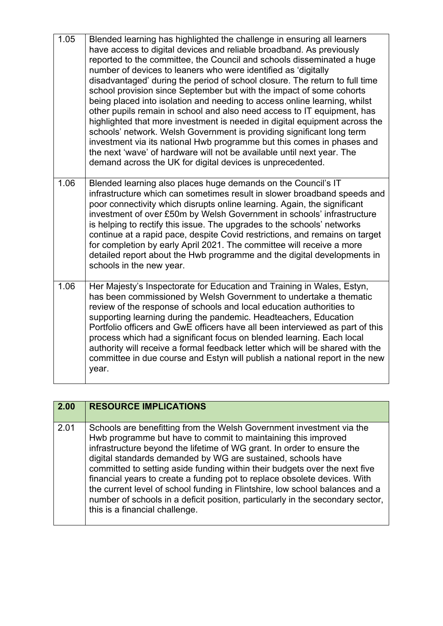| 1.05 | Blended learning has highlighted the challenge in ensuring all learners<br>have access to digital devices and reliable broadband. As previously<br>reported to the committee, the Council and schools disseminated a huge<br>number of devices to leaners who were identified as 'digitally<br>disadvantaged' during the period of school closure. The return to full time<br>school provision since September but with the impact of some cohorts<br>being placed into isolation and needing to access online learning, whilst<br>other pupils remain in school and also need access to IT equipment, has<br>highlighted that more investment is needed in digital equipment across the<br>schools' network. Welsh Government is providing significant long term<br>investment via its national Hwb programme but this comes in phases and<br>the next 'wave' of hardware will not be available until next year. The<br>demand across the UK for digital devices is unprecedented. |
|------|-------------------------------------------------------------------------------------------------------------------------------------------------------------------------------------------------------------------------------------------------------------------------------------------------------------------------------------------------------------------------------------------------------------------------------------------------------------------------------------------------------------------------------------------------------------------------------------------------------------------------------------------------------------------------------------------------------------------------------------------------------------------------------------------------------------------------------------------------------------------------------------------------------------------------------------------------------------------------------------|
| 1.06 | Blended learning also places huge demands on the Council's IT<br>infrastructure which can sometimes result in slower broadband speeds and<br>poor connectivity which disrupts online learning. Again, the significant<br>investment of over £50m by Welsh Government in schools' infrastructure<br>is helping to rectify this issue. The upgrades to the schools' networks<br>continue at a rapid pace, despite Covid restrictions, and remains on target<br>for completion by early April 2021. The committee will receive a more<br>detailed report about the Hwb programme and the digital developments in<br>schools in the new year.                                                                                                                                                                                                                                                                                                                                           |
| 1.06 | Her Majesty's Inspectorate for Education and Training in Wales, Estyn,<br>has been commissioned by Welsh Government to undertake a thematic<br>review of the response of schools and local education authorities to<br>supporting learning during the pandemic. Headteachers, Education<br>Portfolio officers and GwE officers have all been interviewed as part of this<br>process which had a significant focus on blended learning. Each local<br>authority will receive a formal feedback letter which will be shared with the<br>committee in due course and Estyn will publish a national report in the new<br>year.                                                                                                                                                                                                                                                                                                                                                          |

| 2.00 | <b>RESOURCE IMPLICATIONS</b>                                                                                                                                                                                                                                                                                                                                                                                                                                                                                                                                                                                                                   |
|------|------------------------------------------------------------------------------------------------------------------------------------------------------------------------------------------------------------------------------------------------------------------------------------------------------------------------------------------------------------------------------------------------------------------------------------------------------------------------------------------------------------------------------------------------------------------------------------------------------------------------------------------------|
| 2.01 | Schools are benefitting from the Welsh Government investment via the<br>Hwb programme but have to commit to maintaining this improved<br>infrastructure beyond the lifetime of WG grant. In order to ensure the<br>digital standards demanded by WG are sustained, schools have<br>committed to setting aside funding within their budgets over the next five<br>financial years to create a funding pot to replace obsolete devices. With<br>the current level of school funding in Flintshire, low school balances and a<br>number of schools in a deficit position, particularly in the secondary sector,<br>this is a financial challenge. |